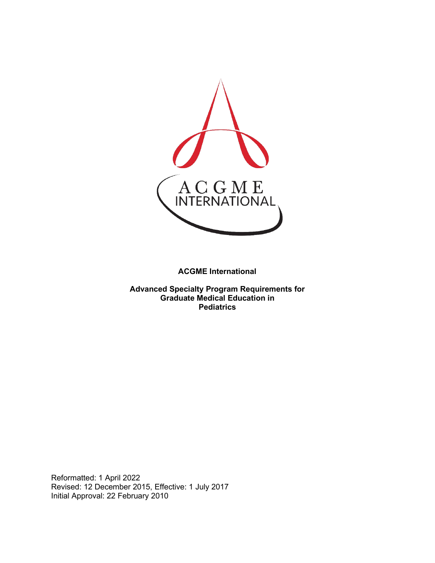

**ACGME International** 

**Advanced Specialty Program Requirements for Graduate Medical Education in Pediatrics**

Reformatted: 1 April 2022 Revised: 12 December 2015, Effective: 1 July 2017 Initial Approval: 22 February 2010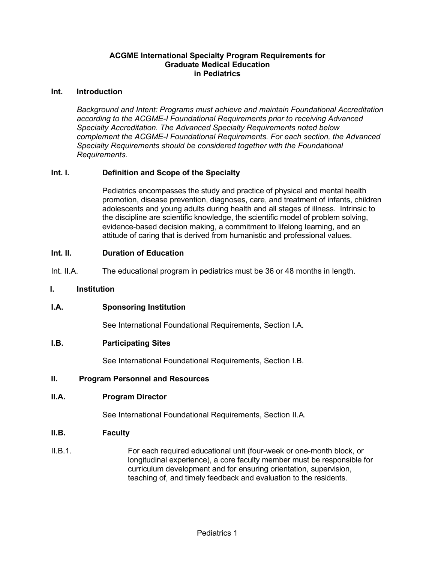## **ACGME International Specialty Program Requirements for Graduate Medical Education in Pediatrics**

#### **Int. Introduction**

*Background and Intent: Programs must achieve and maintain Foundational Accreditation according to the ACGME-I Foundational Requirements prior to receiving Advanced Specialty Accreditation. The Advanced Specialty Requirements noted below complement the ACGME-I Foundational Requirements. For each section, the Advanced Specialty Requirements should be considered together with the Foundational Requirements.*

## **Int. I. Definition and Scope of the Specialty**

Pediatrics encompasses the study and practice of physical and mental health promotion, disease prevention, diagnoses, care, and treatment of infants, children adolescents and young adults during health and all stages of illness. Intrinsic to the discipline are scientific knowledge, the scientific model of problem solving, evidence-based decision making, a commitment to lifelong learning, and an attitude of caring that is derived from humanistic and professional values.

#### **Int. II. Duration of Education**

Int. II.A. The educational program in pediatrics must be 36 or 48 months in length.

#### **I. Institution**

## **I.A. Sponsoring Institution**

See International Foundational Requirements, Section I.A.

#### **I.B. Participating Sites**

See International Foundational Requirements, Section I.B.

#### **II. Program Personnel and Resources**

#### **II.A. Program Director**

See International Foundational Requirements, Section II.A.

#### **II.B. Faculty**

II.B.1. For each required educational unit (four-week or one-month block, or longitudinal experience), a core faculty member must be responsible for curriculum development and for ensuring orientation, supervision, teaching of, and timely feedback and evaluation to the residents.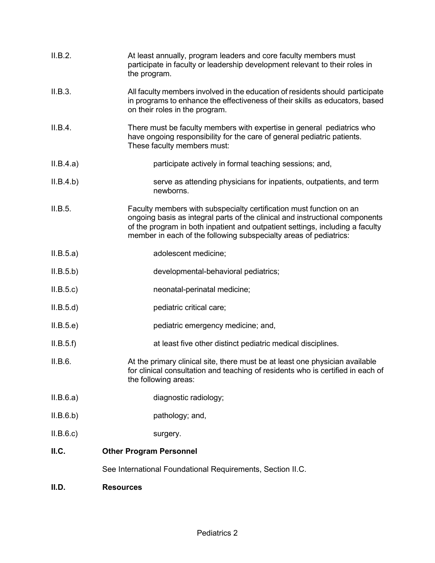| II.B.2.   | At least annually, program leaders and core faculty members must<br>participate in faculty or leadership development relevant to their roles in<br>the program.                                                                                                                                           |
|-----------|-----------------------------------------------------------------------------------------------------------------------------------------------------------------------------------------------------------------------------------------------------------------------------------------------------------|
| II.B.3.   | All faculty members involved in the education of residents should participate<br>in programs to enhance the effectiveness of their skills as educators, based<br>on their roles in the program.                                                                                                           |
| II.B.4.   | There must be faculty members with expertise in general pediatrics who<br>have ongoing responsibility for the care of general pediatric patients.<br>These faculty members must:                                                                                                                          |
| II.B.4.a) | participate actively in formal teaching sessions; and,                                                                                                                                                                                                                                                    |
| II.B.4.b) | serve as attending physicians for inpatients, outpatients, and term<br>newborns.                                                                                                                                                                                                                          |
| II.B.5.   | Faculty members with subspecialty certification must function on an<br>ongoing basis as integral parts of the clinical and instructional components<br>of the program in both inpatient and outpatient settings, including a faculty<br>member in each of the following subspecialty areas of pediatrics: |
| II.B.5.a) | adolescent medicine;                                                                                                                                                                                                                                                                                      |
| II.B.5.b) | developmental-behavioral pediatrics;                                                                                                                                                                                                                                                                      |
| II.B.5.c  | neonatal-perinatal medicine;                                                                                                                                                                                                                                                                              |
| II.B.5.d  | pediatric critical care;                                                                                                                                                                                                                                                                                  |
| II.B.5.e) | pediatric emergency medicine; and,                                                                                                                                                                                                                                                                        |
| II.B.5.f  | at least five other distinct pediatric medical disciplines.                                                                                                                                                                                                                                               |
| II.B.6.   | At the primary clinical site, there must be at least one physician available<br>for clinical consultation and teaching of residents who is certified in each of<br>the following areas:                                                                                                                   |
| II.B.6.a) | diagnostic radiology;                                                                                                                                                                                                                                                                                     |
| II.B.6.b) | pathology; and,                                                                                                                                                                                                                                                                                           |
| II.B.6.c  | surgery.                                                                                                                                                                                                                                                                                                  |
| II.C.     | <b>Other Program Personnel</b>                                                                                                                                                                                                                                                                            |
|           | See International Foundational Requirements, Section II.C.                                                                                                                                                                                                                                                |
| II.D.     | <b>Resources</b>                                                                                                                                                                                                                                                                                          |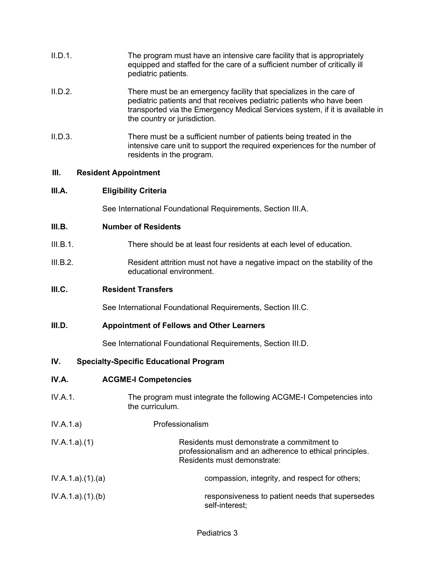| II.D.1. | The program must have an intensive care facility that is appropriately<br>equipped and staffed for the care of a sufficient number of critically ill<br>pediatric patients.                                                                                  |
|---------|--------------------------------------------------------------------------------------------------------------------------------------------------------------------------------------------------------------------------------------------------------------|
| II.D.2. | There must be an emergency facility that specializes in the care of<br>pediatric patients and that receives pediatric patients who have been<br>transported via the Emergency Medical Services system, if it is available in<br>the country or jurisdiction. |
| IID.3   | There must be a sufficient number of patients being treated in the                                                                                                                                                                                           |

II.D.3. There must be a sufficient number of patients being treated in the intensive care unit to support the required experiences for the number of residents in the program.

## **III. Resident Appointment**

#### **III.A. Eligibility Criteria**

See International Foundational Requirements, Section III.A.

#### **III.B. Number of Residents**

- III.B.1. There should be at least four residents at each level of education.
- III.B.2. Resident attrition must not have a negative impact on the stability of the educational environment.

## **III.C. Resident Transfers**

See International Foundational Requirements, Section III.C.

## **III.D. Appointment of Fellows and Other Learners**

See International Foundational Requirements, Section III.D.

## **IV. Specialty-Specific Educational Program**

## **IV.A. ACGME-I Competencies**

- IV.A.1. The program must integrate the following ACGME-I Competencies into the curriculum.
- IV.A.1.a) Professionalism
- IV.A.1.a).(1) Residents must demonstrate a commitment to professionalism and an adherence to ethical principles. Residents must demonstrate:
- IV.A.1.a).(1).(a) compassion, integrity, and respect for others;
- IV.A.1.a).(1).(b) responsiveness to patient needs that supersedes self-interest;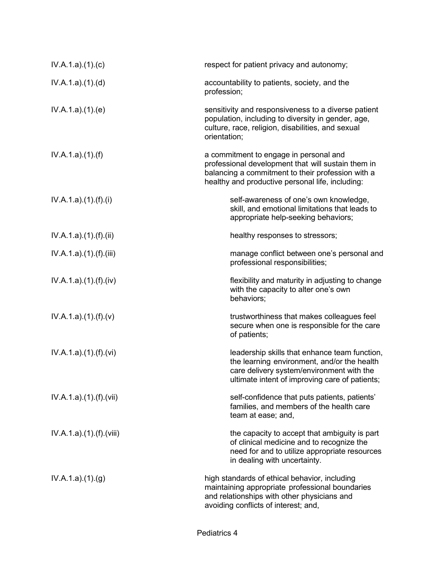| IV.A.1.a)(1)(c)          | respect for patient privacy and autonomy;                                                                                                                                                             |
|--------------------------|-------------------------------------------------------------------------------------------------------------------------------------------------------------------------------------------------------|
| IV.A.1.a)(1)(d)          | accountability to patients, society, and the<br>profession;                                                                                                                                           |
| IV.A.1.a)(1)(e)          | sensitivity and responsiveness to a diverse patient<br>population, including to diversity in gender, age,<br>culture, race, religion, disabilities, and sexual<br>orientation;                        |
| IV.A.1.a)(1)(f)          | a commitment to engage in personal and<br>professional development that will sustain them in<br>balancing a commitment to their profession with a<br>healthy and productive personal life, including: |
| IV.A.1.a)(1).(f)(i)      | self-awareness of one's own knowledge,<br>skill, and emotional limitations that leads to<br>appropriate help-seeking behaviors;                                                                       |
| IV.A.1.a)(1)(f)(ii)      | healthy responses to stressors;                                                                                                                                                                       |
| IV.A.1.a)(1)(f)(iii)     | manage conflict between one's personal and<br>professional responsibilities;                                                                                                                          |
| IV.A.1.a).(1).(f).(iv)   | flexibility and maturity in adjusting to change<br>with the capacity to alter one's own<br>behaviors;                                                                                                 |
| IV.A.1.a)(1).(f)(v)      | trustworthiness that makes colleagues feel<br>secure when one is responsible for the care<br>of patients;                                                                                             |
| IV.A.1.a)(1)(f)(vi)      | leadership skills that enhance team function,<br>the learning environment, and/or the health<br>care delivery system/environment with the<br>ultimate intent of improving care of patients;           |
| IV.A.1.a)(1)(f)(vii)     | self-confidence that puts patients, patients'<br>families, and members of the health care<br>team at ease; and,                                                                                       |
| IV.A.1.a) (1) (f) (viii) | the capacity to accept that ambiguity is part<br>of clinical medicine and to recognize the<br>need for and to utilize appropriate resources<br>in dealing with uncertainty.                           |
| IV.A.1.a)(1)(g)          | high standards of ethical behavior, including<br>maintaining appropriate professional boundaries<br>and relationships with other physicians and<br>avoiding conflicts of interest; and,               |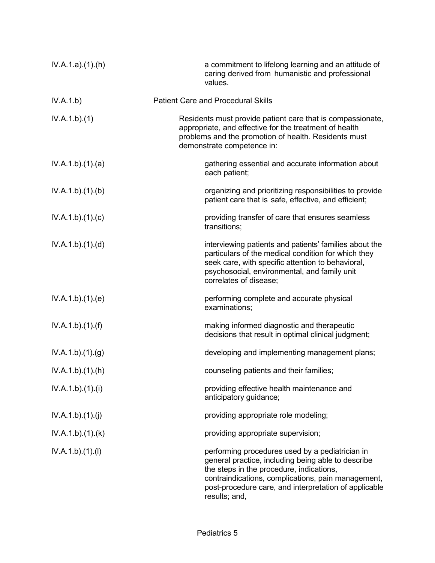| IV.A.1.a)(1)(h)   | a commitment to lifelong learning and an attitude of<br>caring derived from humanistic and professional<br>values.                                                                                                                                                                |
|-------------------|-----------------------------------------------------------------------------------------------------------------------------------------------------------------------------------------------------------------------------------------------------------------------------------|
| IV.A.1.b)         | <b>Patient Care and Procedural Skills</b>                                                                                                                                                                                                                                         |
| IV.A.1.b)(1)      | Residents must provide patient care that is compassionate,<br>appropriate, and effective for the treatment of health<br>problems and the promotion of health. Residents must<br>demonstrate competence in:                                                                        |
| IV.A.1.b)(1)(a)   | gathering essential and accurate information about<br>each patient;                                                                                                                                                                                                               |
| IV.A.1.b)(1)(b)   | organizing and prioritizing responsibilities to provide<br>patient care that is safe, effective, and efficient;                                                                                                                                                                   |
| IV.A.1.b)(1)(c)   | providing transfer of care that ensures seamless<br>transitions;                                                                                                                                                                                                                  |
| IV.A.1.b).(1).(d) | interviewing patients and patients' families about the<br>particulars of the medical condition for which they<br>seek care, with specific attention to behavioral,<br>psychosocial, environmental, and family unit<br>correlates of disease;                                      |
| IV.A.1.b)(1)(e)   | performing complete and accurate physical<br>examinations;                                                                                                                                                                                                                        |
| IV.A.1.b)(1)(f)   | making informed diagnostic and therapeutic<br>decisions that result in optimal clinical judgment;                                                                                                                                                                                 |
| IV.A.1.b)(1)(g)   | developing and implementing management plans;                                                                                                                                                                                                                                     |
| IV.A.1.b).(1).(h) | counseling patients and their families;                                                                                                                                                                                                                                           |
| IV.A.1.b)(1)(i)   | providing effective health maintenance and<br>anticipatory guidance;                                                                                                                                                                                                              |
| IV.A.1.b)(1)(j)   | providing appropriate role modeling;                                                                                                                                                                                                                                              |
| IV.A.1.b)(1)(k)   | providing appropriate supervision;                                                                                                                                                                                                                                                |
| IV.A.1.b)(1)(I)   | performing procedures used by a pediatrician in<br>general practice, including being able to describe<br>the steps in the procedure, indications,<br>contraindications, complications, pain management,<br>post-procedure care, and interpretation of applicable<br>results; and, |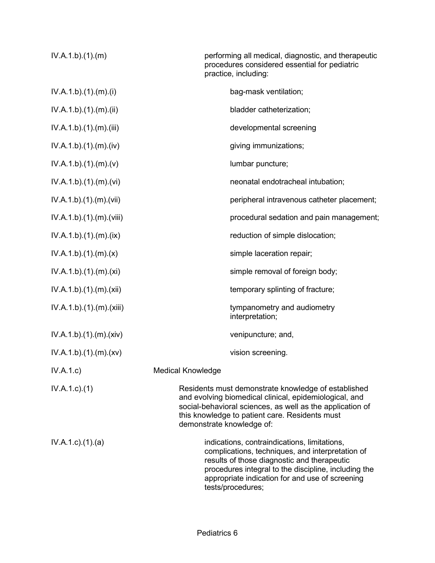| IV.A.1.b)(1)(m)           | performing all medical, diagnostic, and therapeutic<br>procedures considered essential for pediatric<br>practice, including:                                                                                                                                                    |
|---------------------------|---------------------------------------------------------------------------------------------------------------------------------------------------------------------------------------------------------------------------------------------------------------------------------|
| IV.A.1.b)(1)(m)(i)        | bag-mask ventilation;                                                                                                                                                                                                                                                           |
| IV.A.1.b)(1)(m)(ii)       | bladder catheterization;                                                                                                                                                                                                                                                        |
| IV.A.1.b)(1)(m)(iii)      | developmental screening                                                                                                                                                                                                                                                         |
| IV.A.1.b)(1)(m)(iv)       | giving immunizations;                                                                                                                                                                                                                                                           |
| IV.A.1.b)(1)(m)(v)        | lumbar puncture;                                                                                                                                                                                                                                                                |
| IV.A.1.b)(1)(m)(vi)       | neonatal endotracheal intubation;                                                                                                                                                                                                                                               |
| IV.A.1.b)(1)(m)(vii)      | peripheral intravenous catheter placement;                                                                                                                                                                                                                                      |
| IV.A.1.b)(1)(m)(viii)     | procedural sedation and pain management;                                                                                                                                                                                                                                        |
| IV.A.1.b)(1)(m)(ix)       | reduction of simple dislocation;                                                                                                                                                                                                                                                |
| IV.A.1.b)(1)(m)(x)        | simple laceration repair;                                                                                                                                                                                                                                                       |
| IV.A.1.b)(1)(m)(xi)       | simple removal of foreign body;                                                                                                                                                                                                                                                 |
| IV.A.1.b).(1).(m).(xii)   | temporary splinting of fracture;                                                                                                                                                                                                                                                |
| IV.A.1.b)(1)(m)(xiii)     | tympanometry and audiometry<br>interpretation;                                                                                                                                                                                                                                  |
| IV.A.1.b)(1)(m)(xiv)      | venipuncture; and,                                                                                                                                                                                                                                                              |
| IV.A.1.b)(1)(m)(xv)       | vision screening.                                                                                                                                                                                                                                                               |
| IV.A.1.c)                 | <b>Medical Knowledge</b>                                                                                                                                                                                                                                                        |
| $IV.A.1.c.$ (1)           | Residents must demonstrate knowledge of established<br>and evolving biomedical clinical, epidemiological, and<br>social-behavioral sciences, as well as the application of<br>this knowledge to patient care. Residents must<br>demonstrate knowledge of:                       |
| $IV.A.1.c$ . $(1).$ $(a)$ | indications, contraindications, limitations,<br>complications, techniques, and interpretation of<br>results of those diagnostic and therapeutic<br>procedures integral to the discipline, including the<br>appropriate indication for and use of screening<br>tests/procedures; |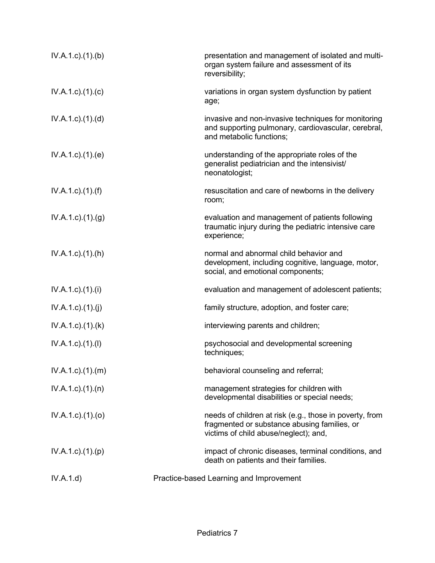| $IV.A.1.c$ . $(1).$ (b)   | presentation and management of isolated and multi-<br>organ system failure and assessment of its<br>reversibility;                               |
|---------------------------|--------------------------------------------------------------------------------------------------------------------------------------------------|
| $IV.A.1.c$ ). $(1).$ (c)  | variations in organ system dysfunction by patient<br>age;                                                                                        |
| $IV.A.1.c$ . $(1).$ $(d)$ | invasive and non-invasive techniques for monitoring<br>and supporting pulmonary, cardiovascular, cerebral,<br>and metabolic functions;           |
| $IV.A.1.c$ . $(1).$ (e)   | understanding of the appropriate roles of the<br>generalist pediatrician and the intensivist/<br>neonatologist;                                  |
| $IV.A.1.c$ ). $(1).(f)$   | resuscitation and care of newborns in the delivery<br>room;                                                                                      |
| $IV.A.1.c.$ (1) $(g)$     | evaluation and management of patients following<br>traumatic injury during the pediatric intensive care<br>experience;                           |
| $IV.A.1.c$ . $(1).(h)$    | normal and abnormal child behavior and<br>development, including cognitive, language, motor,<br>social, and emotional components;                |
| $IV.A.1.c$ ). $(1).$      | evaluation and management of adolescent patients;                                                                                                |
| IV.A.1.c)(1)(j)           | family structure, adoption, and foster care;                                                                                                     |
| $IV.A.1.c$ . $(1).$ (k)   | interviewing parents and children;                                                                                                               |
| $IV.A.1.c$ ). $(1).$      | psychosocial and developmental screening<br>techniques;                                                                                          |
| $IV.A.1.c$ . $(1).$ $(m)$ | behavioral counseling and referral;                                                                                                              |
| $IV.A.1.c$ . $(1).$ $(n)$ | management strategies for children with<br>developmental disabilities or special needs;                                                          |
| IV.A.1.c)(1)(o)           | needs of children at risk (e.g., those in poverty, from<br>fragmented or substance abusing families, or<br>victims of child abuse/neglect); and, |
| IV.A.1.c)(1)(p)           | impact of chronic diseases, terminal conditions, and<br>death on patients and their families.                                                    |
| IV.A.1.d)                 | Practice-based Learning and Improvement                                                                                                          |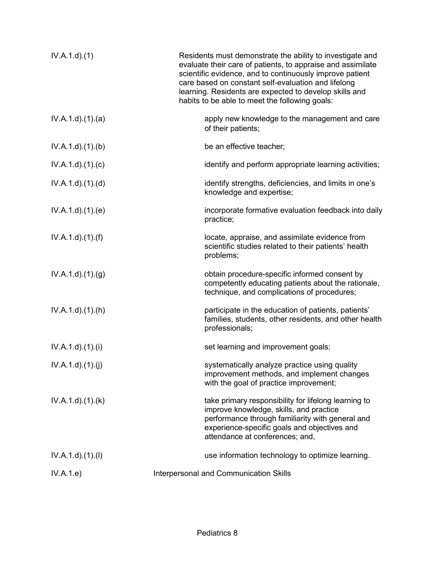| IV.A.1.d.(1)     | Residents must demonstrate the ability to investigate and<br>evaluate their care of patients, to appraise and assimilate<br>scientific evidence, and to continuously improve patient<br>care based on constant self-evaluation and lifelong<br>learning. Residents are expected to develop skills and<br>habits to be able to meet the following goals: |
|------------------|---------------------------------------------------------------------------------------------------------------------------------------------------------------------------------------------------------------------------------------------------------------------------------------------------------------------------------------------------------|
| IV.A.1.d)(1)(a)  | apply new knowledge to the management and care<br>of their patients;                                                                                                                                                                                                                                                                                    |
| IV.A.1.d.(1)(b)  | be an effective teacher;                                                                                                                                                                                                                                                                                                                                |
| IV.A.1.d)(1)(c)  | identify and perform appropriate learning activities;                                                                                                                                                                                                                                                                                                   |
| IV.A.1.d)(1)(d)  | identify strengths, deficiencies, and limits in one's<br>knowledge and expertise;                                                                                                                                                                                                                                                                       |
| IV.A.1.d.(1)(e)  | incorporate formative evaluation feedback into daily<br>practice;                                                                                                                                                                                                                                                                                       |
| IV.A.1.d)(1.(f)) | locate, appraise, and assimilate evidence from<br>scientific studies related to their patients' health<br>problems;                                                                                                                                                                                                                                     |
| IV.A.1.d.(1).(g) | obtain procedure-specific informed consent by<br>competently educating patients about the rationale,<br>technique, and complications of procedures;                                                                                                                                                                                                     |
| IV.A.1.d.(1).(h) | participate in the education of patients, patients'<br>families, students, other residents, and other health<br>professionals;                                                                                                                                                                                                                          |
| IV.A.1.d)(1)(i)  | set learning and improvement goals;                                                                                                                                                                                                                                                                                                                     |
| IV.A.1.d)(1)(j)  | systematically analyze practice using quality<br>improvement methods, and implement changes<br>with the goal of practice improvement;                                                                                                                                                                                                                   |
| IV.A.1.d)(1.(k)) | take primary responsibility for lifelong learning to<br>improve knowledge, skills, and practice<br>performance through familiarity with general and<br>experience-specific goals and objectives and<br>attendance at conferences; and,                                                                                                                  |
| IV.A.1.d)(1)(1)  | use information technology to optimize learning.                                                                                                                                                                                                                                                                                                        |
| IV.A.1.e)        | Interpersonal and Communication Skills                                                                                                                                                                                                                                                                                                                  |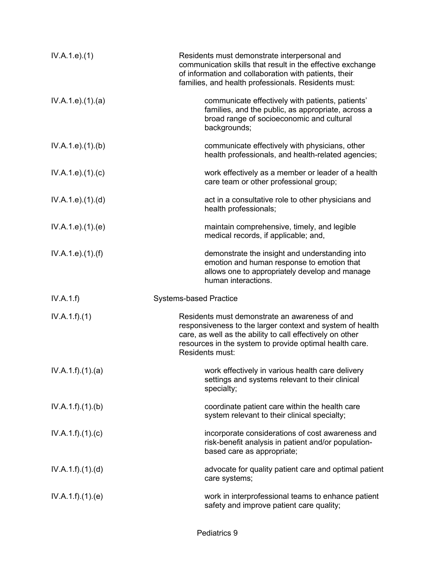| IV.A.1.e. (1)      | Residents must demonstrate interpersonal and<br>communication skills that result in the effective exchange<br>of information and collaboration with patients, their<br>families, and health professionals. Residents must:                             |
|--------------------|--------------------------------------------------------------------------------------------------------------------------------------------------------------------------------------------------------------------------------------------------------|
| IV.A.1.e. (1). (a) | communicate effectively with patients, patients'<br>families, and the public, as appropriate, across a<br>broad range of socioeconomic and cultural<br>backgrounds;                                                                                    |
| IV.A.1.e. (1)(b)   | communicate effectively with physicians, other<br>health professionals, and health-related agencies;                                                                                                                                                   |
| IV.A.1.e. (1). (c) | work effectively as a member or leader of a health<br>care team or other professional group;                                                                                                                                                           |
| IV.A.1.e. (1). (d) | act in a consultative role to other physicians and<br>health professionals;                                                                                                                                                                            |
| IV.A.1.e. (1). (e) | maintain comprehensive, timely, and legible<br>medical records, if applicable; and,                                                                                                                                                                    |
| IV.A.1.e. (1). (f) | demonstrate the insight and understanding into<br>emotion and human response to emotion that<br>allows one to appropriately develop and manage<br>human interactions.                                                                                  |
| IV.A.1.f)          | <b>Systems-based Practice</b>                                                                                                                                                                                                                          |
| IV.A.1.f)(1)       | Residents must demonstrate an awareness of and<br>responsiveness to the larger context and system of health<br>care, as well as the ability to call effectively on other<br>resources in the system to provide optimal health care.<br>Residents must: |
| IV.A.1.f)(1)(a)    | work effectively in various health care delivery<br>settings and systems relevant to their clinical<br>specialty;                                                                                                                                      |
| IV.A.1.f)(1)(b)    | coordinate patient care within the health care<br>system relevant to their clinical specialty;                                                                                                                                                         |
| IV.A.1.f)(1)(c)    | incorporate considerations of cost awareness and<br>risk-benefit analysis in patient and/or population-<br>based care as appropriate;                                                                                                                  |
| IV.A.1.f)(1)(d)    | advocate for quality patient care and optimal patient<br>care systems;                                                                                                                                                                                 |
| IV.A.1.f)(1)(e)    | work in interprofessional teams to enhance patient<br>safety and improve patient care quality;                                                                                                                                                         |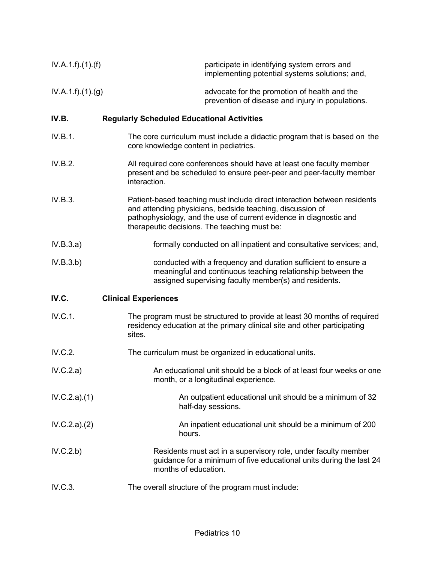| IV.A.1.f).(1).(f) | participate in identifying system errors and<br>implementing potential systems solutions; and,                                                                                                                                                              |
|-------------------|-------------------------------------------------------------------------------------------------------------------------------------------------------------------------------------------------------------------------------------------------------------|
| IV.A.1.f)(1)(g)   | advocate for the promotion of health and the<br>prevention of disease and injury in populations.                                                                                                                                                            |
| IV.B.             | <b>Regularly Scheduled Educational Activities</b>                                                                                                                                                                                                           |
| IV.B.1.           | The core curriculum must include a didactic program that is based on the<br>core knowledge content in pediatrics.                                                                                                                                           |
| IV.B.2.           | All required core conferences should have at least one faculty member<br>present and be scheduled to ensure peer-peer and peer-faculty member<br>interaction.                                                                                               |
| IV.B.3.           | Patient-based teaching must include direct interaction between residents<br>and attending physicians, bedside teaching, discussion of<br>pathophysiology, and the use of current evidence in diagnostic and<br>therapeutic decisions. The teaching must be: |
| IV.B.3.a)         | formally conducted on all inpatient and consultative services; and,                                                                                                                                                                                         |
| IV.B.3.b)         | conducted with a frequency and duration sufficient to ensure a<br>meaningful and continuous teaching relationship between the<br>assigned supervising faculty member(s) and residents.                                                                      |
| IV.C.             | <b>Clinical Experiences</b>                                                                                                                                                                                                                                 |
| IV.C.1.           | The program must be structured to provide at least 30 months of required<br>residency education at the primary clinical site and other participating<br>sites.                                                                                              |
| IV.C.2.           | The curriculum must be organized in educational units.                                                                                                                                                                                                      |
| IV.C.2.a)         | An educational unit should be a block of at least four weeks or one<br>month, or a longitudinal experience.                                                                                                                                                 |
| IV.C.2.a)(1)      | An outpatient educational unit should be a minimum of 32<br>half-day sessions.                                                                                                                                                                              |
| IV.C.2.a)(2)      | An inpatient educational unit should be a minimum of 200<br>hours.                                                                                                                                                                                          |
| IV.C.2.b)         | Residents must act in a supervisory role, under faculty member<br>guidance for a minimum of five educational units during the last 24<br>months of education.                                                                                               |
| IV.C.3.           | The overall structure of the program must include:                                                                                                                                                                                                          |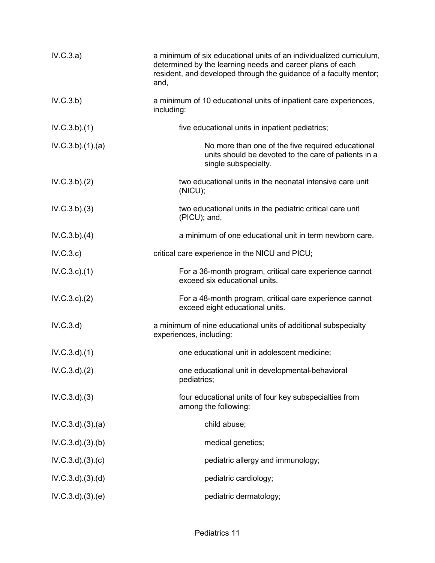| IV.C.3.a)        | a minimum of six educational units of an individualized curriculum,<br>determined by the learning needs and career plans of each<br>resident, and developed through the guidance of a faculty mentor;<br>and, |
|------------------|---------------------------------------------------------------------------------------------------------------------------------------------------------------------------------------------------------------|
| IV.C.3.b)        | a minimum of 10 educational units of inpatient care experiences,<br>including:                                                                                                                                |
| IV.C.3.b)(1)     | five educational units in inpatient pediatrics;                                                                                                                                                               |
| IV.C.3.b)(1).(a) | No more than one of the five required educational<br>units should be devoted to the care of patients in a<br>single subspecialty.                                                                             |
| IV.C.3.b)(2)     | two educational units in the neonatal intensive care unit<br>(NICU);                                                                                                                                          |
| IV.C.3.b)(3)     | two educational units in the pediatric critical care unit<br>(PICU); and,                                                                                                                                     |
| IV.C.3.b)(4)     | a minimum of one educational unit in term newborn care.                                                                                                                                                       |
| IV.C.3.c)        | critical care experience in the NICU and PICU;                                                                                                                                                                |
| IV.C.3.c.1)      | For a 36-month program, critical care experience cannot<br>exceed six educational units.                                                                                                                      |
| IV.C.3.c.2)      | For a 48-month program, critical care experience cannot<br>exceed eight educational units.                                                                                                                    |
| IV.C.3.d)        | a minimum of nine educational units of additional subspecialty<br>experiences, including:                                                                                                                     |
| $IV.C.3.d$ $(1)$ | one educational unit in adolescent medicine;                                                                                                                                                                  |
| IV.C.3.d)(2)     | one educational unit in developmental-behavioral<br>pediatrics;                                                                                                                                               |
| IV.C.3.d)(3)     | four educational units of four key subspecialties from<br>among the following:                                                                                                                                |
| IV.C.3.d)(3)(a)  | child abuse;                                                                                                                                                                                                  |
| IV.C.3.d)(3)(b)  | medical genetics;                                                                                                                                                                                             |
| IV.C.3.d)(3)(c)  | pediatric allergy and immunology;                                                                                                                                                                             |
| IV.C.3.d)(3)(d)  | pediatric cardiology;                                                                                                                                                                                         |
| IV.C.3.d)(3)(e)  | pediatric dermatology;                                                                                                                                                                                        |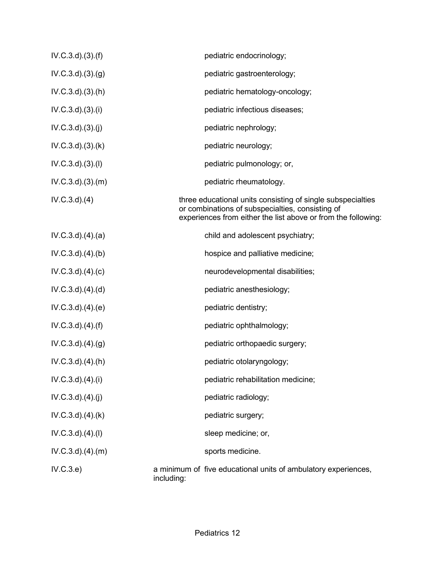| IV.C.3.d)(3)(f)      | pediatric endocrinology;                                                                                                                                                         |
|----------------------|----------------------------------------------------------------------------------------------------------------------------------------------------------------------------------|
| IV.C.3.d)(3)(g)      | pediatric gastroenterology;                                                                                                                                                      |
| IV.C.3.d)(3)(h)      | pediatric hematology-oncology;                                                                                                                                                   |
| IV.C.3.d)(3)(i)      | pediatric infectious diseases;                                                                                                                                                   |
| IV.C.3.d)(3)(j)      | pediatric nephrology;                                                                                                                                                            |
| IV.C.3.d)(3).(k)     | pediatric neurology;                                                                                                                                                             |
| IV.C.3.d)(3)(1)      | pediatric pulmonology; or,                                                                                                                                                       |
| IV.C.3.d)(3)(m)      | pediatric rheumatology.                                                                                                                                                          |
| $IV.C.3.d$ $.(4)$    | three educational units consisting of single subspecialties<br>or combinations of subspecialties, consisting of<br>experiences from either the list above or from the following: |
| IV.C.3.d)(4)(a)      | child and adolescent psychiatry;                                                                                                                                                 |
| IV.C.3.d)(4)(b)      | hospice and palliative medicine;                                                                                                                                                 |
| IV.C.3.d)(4)(c)      | neurodevelopmental disabilities;                                                                                                                                                 |
| IV.C.3.d)(4)(d)      | pediatric anesthesiology;                                                                                                                                                        |
| IV.C.3.d)(4)(e)      | pediatric dentistry;                                                                                                                                                             |
| IV.C.3.d)(4)(f)      | pediatric ophthalmology;                                                                                                                                                         |
| IV.C.3.d)(4)(g)      | pediatric orthopaedic surgery;                                                                                                                                                   |
| $IV.C.3.d$ $.(4)(h)$ | pediatric otolaryngology;                                                                                                                                                        |
| IV.C.3.d)(4)(i)      | pediatric rehabilitation medicine;                                                                                                                                               |
| IV.C.3.d)(4)(j)      | pediatric radiology;                                                                                                                                                             |
| IV.C.3.d)(4)(k)      | pediatric surgery;                                                                                                                                                               |
| IV.C.3.d)(4)(I)      | sleep medicine; or,                                                                                                                                                              |
| IV.C.3.d)(4)(m)      | sports medicine.                                                                                                                                                                 |
| IV.C.3.e)            | a minimum of five educational units of ambulatory experiences,<br>including:                                                                                                     |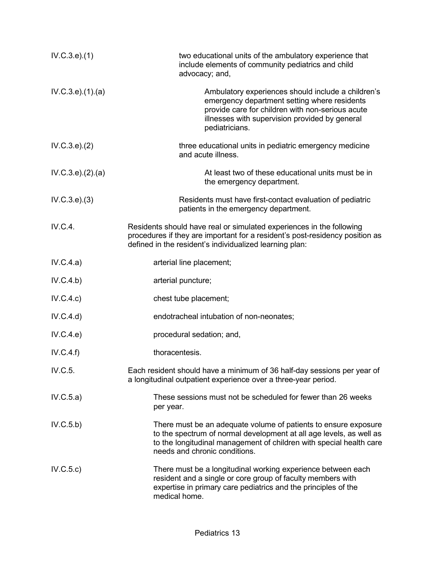| IV.C.3.e).(1)       | two educational units of the ambulatory experience that<br>include elements of community pediatrics and child<br>advocacy; and,                                                                                                                |
|---------------------|------------------------------------------------------------------------------------------------------------------------------------------------------------------------------------------------------------------------------------------------|
| IV.C.3.e).(1).(a)   | Ambulatory experiences should include a children's<br>emergency department setting where residents<br>provide care for children with non-serious acute<br>illnesses with supervision provided by general<br>pediatricians.                     |
| IV.C.3.e). (2)      | three educational units in pediatric emergency medicine<br>and acute illness.                                                                                                                                                                  |
| IV.C.3.e). (2). (a) | At least two of these educational units must be in<br>the emergency department.                                                                                                                                                                |
| IV.C.3.e). (3)      | Residents must have first-contact evaluation of pediatric<br>patients in the emergency department.                                                                                                                                             |
| IV.C.4.             | Residents should have real or simulated experiences in the following<br>procedures if they are important for a resident's post-residency position as<br>defined in the resident's individualized learning plan:                                |
| IV.C.4.a)           | arterial line placement;                                                                                                                                                                                                                       |
| IV.C.4.b)           | arterial puncture;                                                                                                                                                                                                                             |
| IV.C.4.c)           | chest tube placement;                                                                                                                                                                                                                          |
| IV.C.4.d)           | endotracheal intubation of non-neonates;                                                                                                                                                                                                       |
| IV.C.4.e)           | procedural sedation; and,                                                                                                                                                                                                                      |
| IV.C.4.f)           | thoracentesis.                                                                                                                                                                                                                                 |
| IV.C.5.             | Each resident should have a minimum of 36 half-day sessions per year of<br>a longitudinal outpatient experience over a three-year period.                                                                                                      |
| IV.C.5.a)           | These sessions must not be scheduled for fewer than 26 weeks<br>per year.                                                                                                                                                                      |
| IV.C.5.b)           | There must be an adequate volume of patients to ensure exposure<br>to the spectrum of normal development at all age levels, as well as<br>to the longitudinal management of children with special health care<br>needs and chronic conditions. |
| IV.C.5.c)           | There must be a longitudinal working experience between each<br>resident and a single or core group of faculty members with<br>expertise in primary care pediatrics and the principles of the<br>medical home.                                 |